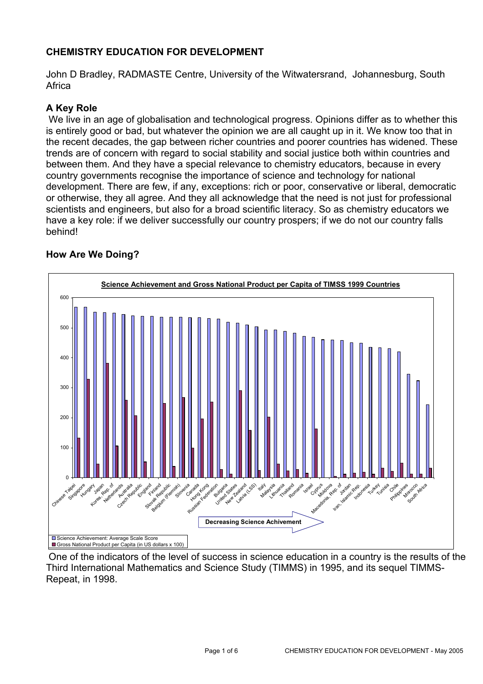# **CHEMISTRY EDUCATION FOR DEVELOPMENT**

John D Bradley, RADMASTE Centre, University of the Witwatersrand, Johannesburg, South Africa

# **A Key Role**

 We live in an age of globalisation and technological progress. Opinions differ as to whether this is entirely good or bad, but whatever the opinion we are all caught up in it. We know too that in the recent decades, the gap between richer countries and poorer countries has widened. These trends are of concern with regard to social stability and social justice both within countries and between them. And they have a special relevance to chemistry educators, because in every country governments recognise the importance of science and technology for national development. There are few, if any, exceptions: rich or poor, conservative or liberal, democratic or otherwise, they all agree. And they all acknowledge that the need is not just for professional scientists and engineers, but also for a broad scientific literacy. So as chemistry educators we have a key role: if we deliver successfully our country prospers; if we do not our country falls behind!

#### **Science Achievement and Gross National Product per Capita of TIMSS 1999 Countries** 0 100 200 300 400 500 600 Chinese Taipei aipe <sub>Aungary</sub> Japan<sub>dep</sub> Korea, Astronands<br>Korea, Helterlands Czech Republic England Slovak Republic Belgium (Flemish) Slovenia Canada Kong <sub>Aeration</sub> Paradicon River physike States Eulogies-sizespare Latvia (LSS) valy **Malaysia** Lithuania **Thailand** Romania **Israel Uprus** Macedonia, ran. Iran, Islamic Rep. Indonesia Turkey Tunisia Philippines **Morocco** South Africa Science Achievement: Average Scale Score Gross National Product per Capita (in US dollars x 100) **Decreasing Science Achivement**

# **How Are We Doing?**

 One of the indicators of the level of success in science education in a country is the results of the Third International Mathematics and Science Study (TIMMS) in 1995, and its sequel TIMMS-Repeat, in 1998.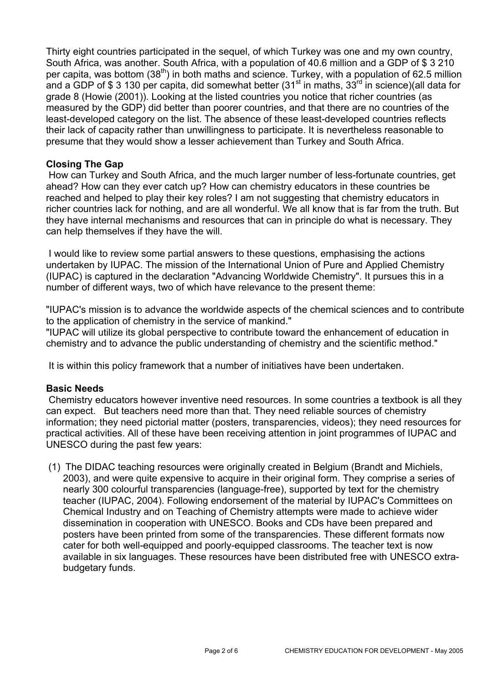Thirty eight countries participated in the sequel, of which Turkey was one and my own country, South Africa, was another. South Africa, with a population of 40.6 million and a GDP of \$ 3 210 per capita, was bottom  $(38<sup>th</sup>)$  in both maths and science. Turkey, with a population of 62.5 million and a GDP of \$ 3 130 per capita, did somewhat better (31<sup>st</sup> in maths, 33<sup>rd</sup> in science)(all data for grade 8 (Howie (2001)). Looking at the listed countries you notice that richer countries (as measured by the GDP) did better than poorer countries, and that there are no countries of the least-developed category on the list. The absence of these least-developed countries reflects their lack of capacity rather than unwillingness to participate. It is nevertheless reasonable to presume that they would show a lesser achievement than Turkey and South Africa.

### **Closing The Gap**

 How can Turkey and South Africa, and the much larger number of less-fortunate countries, get ahead? How can they ever catch up? How can chemistry educators in these countries be reached and helped to play their key roles? I am not suggesting that chemistry educators in richer countries lack for nothing, and are all wonderful. We all know that is far from the truth. But they have internal mechanisms and resources that can in principle do what is necessary. They can help themselves if they have the will.

 I would like to review some partial answers to these questions, emphasising the actions undertaken by IUPAC. The mission of the International Union of Pure and Applied Chemistry (IUPAC) is captured in the declaration "Advancing Worldwide Chemistry". It pursues this in a number of different ways, two of which have relevance to the present theme:

"IUPAC's mission is to advance the worldwide aspects of the chemical sciences and to contribute to the application of chemistry in the service of mankind."

"IUPAC will utilize its global perspective to contribute toward the enhancement of education in chemistry and to advance the public understanding of chemistry and the scientific method."

It is within this policy framework that a number of initiatives have been undertaken.

#### **Basic Needs**

 Chemistry educators however inventive need resources. In some countries a textbook is all they can expect. But teachers need more than that. They need reliable sources of chemistry information; they need pictorial matter (posters, transparencies, videos); they need resources for practical activities. All of these have been receiving attention in joint programmes of IUPAC and UNESCO during the past few years:

(1) The DIDAC teaching resources were originally created in Belgium (Brandt and Michiels, 2003), and were quite expensive to acquire in their original form. They comprise a series of nearly 300 colourful transparencies (language-free), supported by text for the chemistry teacher (IUPAC, 2004). Following endorsement of the material by IUPAC's Committees on Chemical Industry and on Teaching of Chemistry attempts were made to achieve wider dissemination in cooperation with UNESCO. Books and CDs have been prepared and posters have been printed from some of the transparencies. These different formats now cater for both well-equipped and poorly-equipped classrooms. The teacher text is now available in six languages. These resources have been distributed free with UNESCO extrabudgetary funds.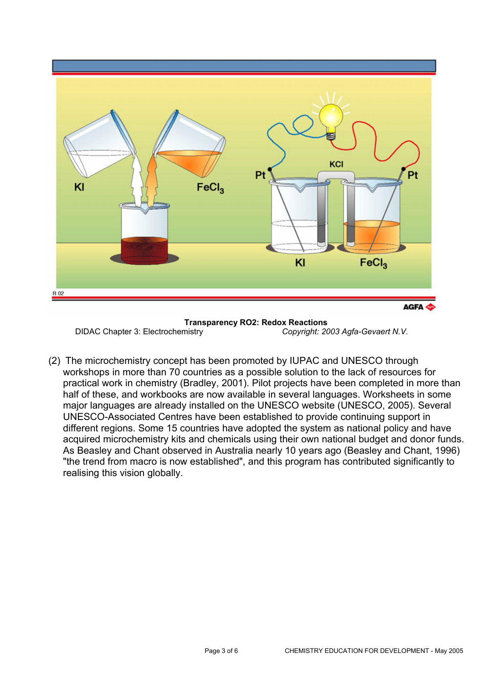

**Transparency RO2: Redox Reactions**  DIDAC Chapter 3: Electrochemistry *Copyright: 2003 Agfa-Gevaert N.V.* 

(2) The microchemistry concept has been promoted by IUPAC and UNESCO through workshops in more than 70 countries as a possible solution to the lack of resources for practical work in chemistry (Bradley, 2001). Pilot projects have been completed in more than half of these, and workbooks are now available in several languages. Worksheets in some major languages are already installed on the UNESCO website (UNESCO, 2005). Several UNESCO-Associated Centres have been established to provide continuing support in different regions. Some 15 countries have adopted the system as national policy and have acquired microchemistry kits and chemicals using their own national budget and donor funds. As Beasley and Chant observed in Australia nearly 10 years ago (Beasley and Chant, 1996) "the trend from macro is now established", and this program has contributed significantly to realising this vision globally.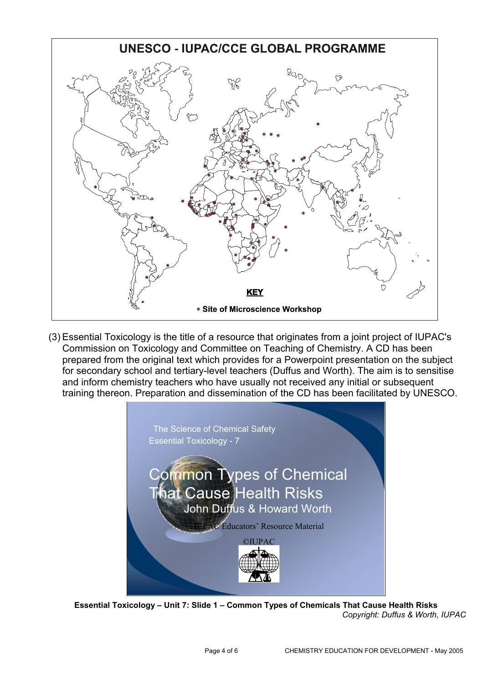

(3) Essential Toxicology is the title of a resource that originates from a joint project of IUPAC's Commission on Toxicology and Committee on Teaching of Chemistry. A CD has been prepared from the original text which provides for a Powerpoint presentation on the subject for secondary school and tertiary-level teachers (Duffus and Worth). The aim is to sensitise and inform chemistry teachers who have usually not received any initial or subsequent training thereon. Preparation and dissemination of the CD has been facilitated by UNESCO.



**Essential Toxicology - Unit 7: Slide 1 - Common Types of Chemicals That Cause Health Risks** *Copyright: Duffus & Worth, IUPAC*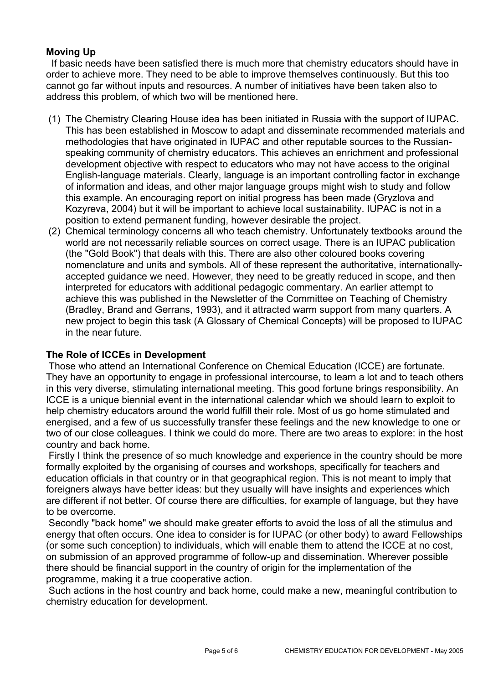# **Moving Up**

 If basic needs have been satisfied there is much more that chemistry educators should have in order to achieve more. They need to be able to improve themselves continuously. But this too cannot go far without inputs and resources. A number of initiatives have been taken also to address this problem, of which two will be mentioned here.

- (1) The Chemistry Clearing House idea has been initiated in Russia with the support of IUPAC. This has been established in Moscow to adapt and disseminate recommended materials and methodologies that have originated in IUPAC and other reputable sources to the Russianspeaking community of chemistry educators. This achieves an enrichment and professional development objective with respect to educators who may not have access to the original English-language materials. Clearly, language is an important controlling factor in exchange of information and ideas, and other major language groups might wish to study and follow this example. An encouraging report on initial progress has been made (Gryzlova and Kozyreva, 2004) but it will be important to achieve local sustainability. IUPAC is not in a position to extend permanent funding, however desirable the project.
- (2) Chemical terminology concerns all who teach chemistry. Unfortunately textbooks around the world are not necessarily reliable sources on correct usage. There is an IUPAC publication (the "Gold Book") that deals with this. There are also other coloured books covering nomenclature and units and symbols. All of these represent the authoritative, internationallyaccepted guidance we need. However, they need to be greatly reduced in scope, and then interpreted for educators with additional pedagogic commentary. An earlier attempt to achieve this was published in the Newsletter of the Committee on Teaching of Chemistry (Bradley, Brand and Gerrans, 1993), and it attracted warm support from many quarters. A new project to begin this task (A Glossary of Chemical Concepts) will be proposed to IUPAC in the near future.

#### **The Role of ICCEs in Development**

 Those who attend an International Conference on Chemical Education (ICCE) are fortunate. They have an opportunity to engage in professional intercourse, to learn a lot and to teach others in this very diverse, stimulating international meeting. This good fortune brings responsibility. An ICCE is a unique biennial event in the international calendar which we should learn to exploit to help chemistry educators around the world fulfill their role. Most of us go home stimulated and energised, and a few of us successfully transfer these feelings and the new knowledge to one or two of our close colleagues. I think we could do more. There are two areas to explore: in the host country and back home.

 Firstly I think the presence of so much knowledge and experience in the country should be more formally exploited by the organising of courses and workshops, specifically for teachers and education officials in that country or in that geographical region. This is not meant to imply that foreigners always have better ideas: but they usually will have insights and experiences which are different if not better. Of course there are difficulties, for example of language, but they have to be overcome.

 Secondly "back home" we should make greater efforts to avoid the loss of all the stimulus and energy that often occurs. One idea to consider is for IUPAC (or other body) to award Fellowships (or some such conception) to individuals, which will enable them to attend the ICCE at no cost, on submission of an approved programme of follow-up and dissemination. Wherever possible there should be financial support in the country of origin for the implementation of the programme, making it a true cooperative action.

 Such actions in the host country and back home, could make a new, meaningful contribution to chemistry education for development.